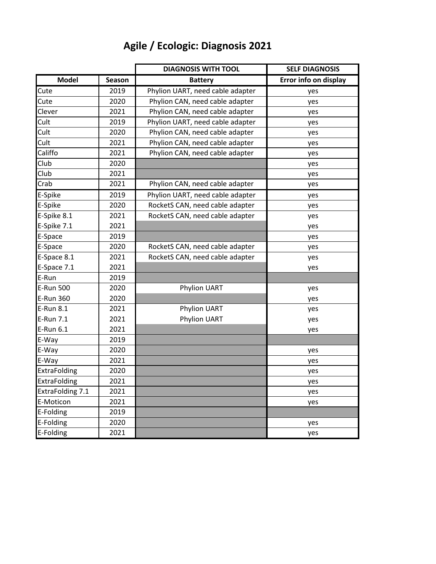## **Agile / Ecologic: Diagnosis 2021**

|                  |        | <b>DIAGNOSIS WITH TOOL</b>       | <b>SELF DIAGNOSIS</b> |
|------------------|--------|----------------------------------|-----------------------|
| <b>Model</b>     | Season | <b>Battery</b>                   | Error info on display |
| Cute             | 2019   | Phylion UART, need cable adapter | yes                   |
| Cute             | 2020   | Phylion CAN, need cable adapter  | yes                   |
| Clever           | 2021   | Phylion CAN, need cable adapter  | yes                   |
| Cult             | 2019   | Phylion UART, need cable adapter | yes                   |
| Cult             | 2020   | Phylion CAN, need cable adapter  | yes                   |
| Cult             | 2021   | Phylion CAN, need cable adapter  | yes                   |
| Califfo          | 2021   | Phylion CAN, need cable adapter  | yes                   |
| Club             | 2020   |                                  | yes                   |
| Club             | 2021   |                                  | yes                   |
| Crab             | 2021   | Phylion CAN, need cable adapter  | yes                   |
| E-Spike          | 2019   | Phylion UART, need cable adapter | yes                   |
| E-Spike          | 2020   | RocketS CAN, need cable adapter  | yes                   |
| E-Spike 8.1      | 2021   | RocketS CAN, need cable adapter  | yes                   |
| E-Spike 7.1      | 2021   |                                  | yes                   |
| E-Space          | 2019   |                                  | yes                   |
| E-Space          | 2020   | RocketS CAN, need cable adapter  | yes                   |
| E-Space 8.1      | 2021   | RocketS CAN, need cable adapter  | yes                   |
| E-Space 7.1      | 2021   |                                  | yes                   |
| E-Run            | 2019   |                                  |                       |
| E-Run 500        | 2020   | Phylion UART<br>yes              |                       |
| E-Run 360        | 2020   |                                  | yes                   |
| E-Run 8.1        | 2021   | Phylion UART                     | yes                   |
| E-Run 7.1        | 2021   | Phylion UART                     | yes                   |
| E-Run 6.1        | 2021   |                                  | yes                   |
| E-Way            | 2019   |                                  |                       |
| E-Way            | 2020   |                                  | yes                   |
| E-Way            | 2021   |                                  | yes                   |
| ExtraFolding     | 2020   |                                  | yes                   |
| ExtraFolding     | 2021   |                                  | yes                   |
| ExtraFolding 7.1 | 2021   |                                  | yes                   |
| E-Moticon        | 2021   |                                  | yes                   |
| E-Folding        | 2019   |                                  |                       |
| E-Folding        | 2020   |                                  | yes                   |
| E-Folding        | 2021   |                                  | yes                   |